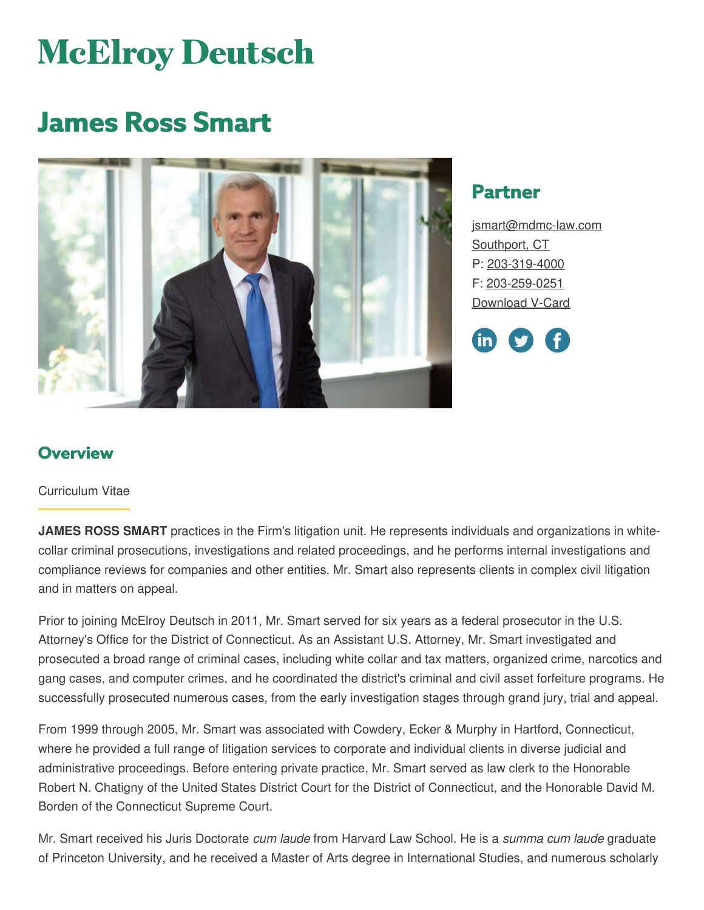# **McElroy Deutsch**

# **James Ross Smart**



## **Partner**

[jsmart@mdmc-law.com](mailto:jsmart@mdmc-law.com) [Southport,](https://www.mdmc-law.com/offices/southport) CT P: [203-319-4000](tel:203-319-4000) F: [203-259-0251](tel:203-259-0251) [Download](https://www.mdmc-law.com/node/373/vcard) V-Card



### **Overview**

#### Curriculum Vitae

**JAMES ROSS SMART** practices in the Firm's litigation unit. He represents individuals and organizations in whitecollar criminal prosecutions, investigations and related proceedings, and he performs internal investigations and compliance reviews for companies and other entities. Mr. Smart also represents clients in complex civil litigation and in matters on appeal.

Prior to joining McElroy Deutsch in 2011, Mr. Smart served for six years as a federal prosecutor in the U.S. Attorney's Office for the District of Connecticut. As an Assistant U.S. Attorney, Mr. Smart investigated and prosecuted a broad range of criminal cases, including white collar and tax matters, organized crime, narcotics and gang cases, and computer crimes, and he coordinated the district's criminal and civil asset forfeiture programs. He successfully prosecuted numerous cases, from the early investigation stages through grand jury, trial and appeal.

From 1999 through 2005, Mr. Smart was associated with Cowdery, Ecker & Murphy in Hartford, Connecticut, where he provided a full range of litigation services to corporate and individual clients in diverse judicial and administrative proceedings. Before entering private practice, Mr. Smart served as law clerk to the Honorable Robert N. Chatigny of the United States District Court for the District of Connecticut, and the Honorable David M. Borden of the Connecticut Supreme Court.

Mr. Smart received his Juris Doctorate *cum laude* from Harvard Law School. He is a *summa cum laude* graduate of Princeton University, and he received a Master of Arts degree in International Studies, and numerous scholarly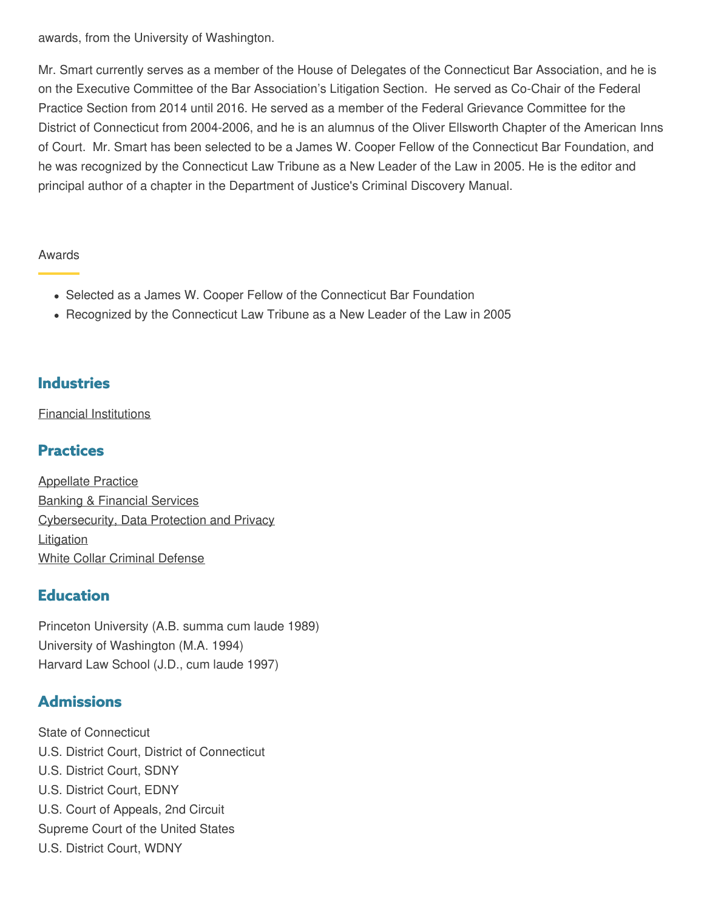awards, from the University of Washington.

Mr. Smart currently serves as a member of the House of Delegates of the Connecticut Bar Association, and he is on the Executive Committee of the Bar Association's Litigation Section. He served as Co-Chair of the Federal Practice Section from 2014 until 2016. He served as a member of the Federal Grievance Committee for the District of Connecticut from 2004-2006, and he is an alumnus of the Oliver Ellsworth Chapter of the American Inns of Court. Mr. Smart has been selected to be a James W. Cooper Fellow of the Connecticut Bar Foundation, and he was recognized by the Connecticut Law Tribune as a New Leader of the Law in 2005. He is the editor and principal author of a chapter in the Department of Justice's Criminal Discovery Manual.

#### Awards

- Selected as a James W. Cooper Fellow of the Connecticut Bar Foundation
- Recognized by the Connecticut Law Tribune as a New Leader of the Law in 2005

#### **Industries**

Financial [Institutions](https://www.mdmc-law.com/industries/financial-institutions)

### **Practices**

[Appellate](https://www.mdmc-law.com/practices/appellate-practice) Practice Banking & [Financial](https://www.mdmc-law.com/practices/banking-financial-services) Services [Cybersecurity,](https://www.mdmc-law.com/practices/cybersecurity-data-protection-and-privacy) Data Protection and Privacy **[Litigation](https://www.mdmc-law.com/practices/litigation)** White Collar [Criminal](https://www.mdmc-law.com/practices/white-collar-criminal-defense) Defense

#### **Education**

Princeton University (A.B. summa cum laude 1989) University of Washington (M.A. 1994) Harvard Law School (J.D., cum laude 1997)

#### **Admissions**

State of Connecticut U.S. District Court, District of Connecticut U.S. District Court, SDNY U.S. District Court, EDNY U.S. Court of Appeals, 2nd Circuit Supreme Court of the United States U.S. District Court, WDNY